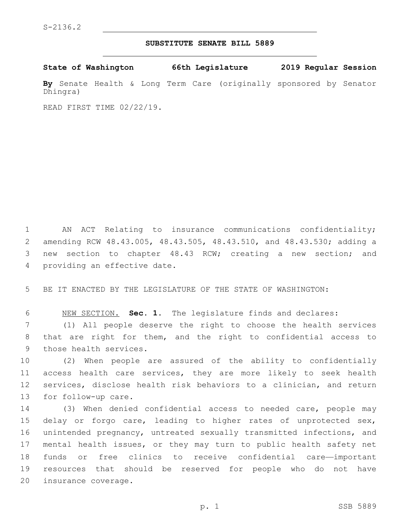## **SUBSTITUTE SENATE BILL 5889**

**State of Washington 66th Legislature 2019 Regular Session**

**By** Senate Health & Long Term Care (originally sponsored by Senator Dhingra)

READ FIRST TIME 02/22/19.

 AN ACT Relating to insurance communications confidentiality; amending RCW 48.43.005, 48.43.505, 48.43.510, and 48.43.530; adding a new section to chapter 48.43 RCW; creating a new section; and 4 providing an effective date.

5 BE IT ENACTED BY THE LEGISLATURE OF THE STATE OF WASHINGTON:

6 NEW SECTION. **Sec. 1.** The legislature finds and declares:

7 (1) All people deserve the right to choose the health services 8 that are right for them, and the right to confidential access to 9 those health services.

 (2) When people are assured of the ability to confidentially access health care services, they are more likely to seek health services, disclose health risk behaviors to a clinician, and return 13 for follow-up care.

 (3) When denied confidential access to needed care, people may delay or forgo care, leading to higher rates of unprotected sex, unintended pregnancy, untreated sexually transmitted infections, and mental health issues, or they may turn to public health safety net funds or free clinics to receive confidential care—important resources that should be reserved for people who do not have 20 insurance coverage.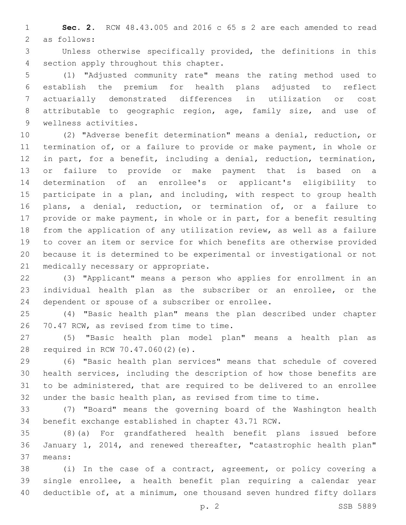**Sec. 2.** RCW 48.43.005 and 2016 c 65 s 2 are each amended to read 2 as follows:

 Unless otherwise specifically provided, the definitions in this 4 section apply throughout this chapter.

 (1) "Adjusted community rate" means the rating method used to establish the premium for health plans adjusted to reflect actuarially demonstrated differences in utilization or cost attributable to geographic region, age, family size, and use of 9 wellness activities.

 (2) "Adverse benefit determination" means a denial, reduction, or termination of, or a failure to provide or make payment, in whole or in part, for a benefit, including a denial, reduction, termination, or failure to provide or make payment that is based on a determination of an enrollee's or applicant's eligibility to 15 participate in a plan, and including, with respect to group health plans, a denial, reduction, or termination of, or a failure to provide or make payment, in whole or in part, for a benefit resulting from the application of any utilization review, as well as a failure to cover an item or service for which benefits are otherwise provided because it is determined to be experimental or investigational or not 21 medically necessary or appropriate.

 (3) "Applicant" means a person who applies for enrollment in an individual health plan as the subscriber or an enrollee, or the 24 dependent or spouse of a subscriber or enrollee.

 (4) "Basic health plan" means the plan described under chapter 26 70.47 RCW, as revised from time to time.

 (5) "Basic health plan model plan" means a health plan as 28 required in RCW 70.47.060(2)(e).

 (6) "Basic health plan services" means that schedule of covered health services, including the description of how those benefits are to be administered, that are required to be delivered to an enrollee under the basic health plan, as revised from time to time.

 (7) "Board" means the governing board of the Washington health benefit exchange established in chapter 43.71 RCW.

 (8)(a) For grandfathered health benefit plans issued before January 1, 2014, and renewed thereafter, "catastrophic health plan" means:37

 (i) In the case of a contract, agreement, or policy covering a single enrollee, a health benefit plan requiring a calendar year deductible of, at a minimum, one thousand seven hundred fifty dollars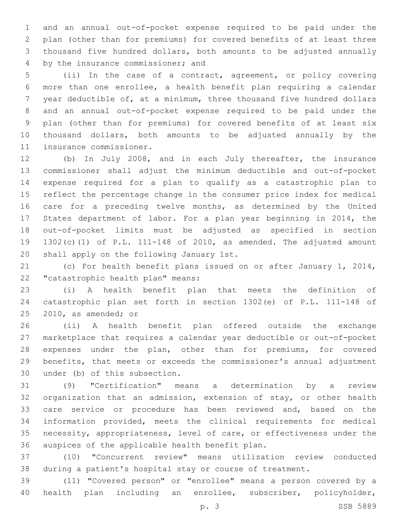and an annual out-of-pocket expense required to be paid under the plan (other than for premiums) for covered benefits of at least three thousand five hundred dollars, both amounts to be adjusted annually 4 by the insurance commissioner; and

 (ii) In the case of a contract, agreement, or policy covering more than one enrollee, a health benefit plan requiring a calendar year deductible of, at a minimum, three thousand five hundred dollars and an annual out-of-pocket expense required to be paid under the plan (other than for premiums) for covered benefits of at least six thousand dollars, both amounts to be adjusted annually by the 11 insurance commissioner.

 (b) In July 2008, and in each July thereafter, the insurance commissioner shall adjust the minimum deductible and out-of-pocket expense required for a plan to qualify as a catastrophic plan to reflect the percentage change in the consumer price index for medical care for a preceding twelve months, as determined by the United States department of labor. For a plan year beginning in 2014, the out-of-pocket limits must be adjusted as specified in section 1302(c)(1) of P.L. 111-148 of 2010, as amended. The adjusted amount 20 shall apply on the following January 1st.

 (c) For health benefit plans issued on or after January 1, 2014, 22 "catastrophic health plan" means:

 (i) A health benefit plan that meets the definition of catastrophic plan set forth in section 1302(e) of P.L. 111-148 of  $2010$ , as amended; or

 (ii) A health benefit plan offered outside the exchange marketplace that requires a calendar year deductible or out-of-pocket expenses under the plan, other than for premiums, for covered benefits, that meets or exceeds the commissioner's annual adjustment 30 under (b) of this subsection.

 (9) "Certification" means a determination by a review organization that an admission, extension of stay, or other health care service or procedure has been reviewed and, based on the information provided, meets the clinical requirements for medical necessity, appropriateness, level of care, or effectiveness under the 36 auspices of the applicable health benefit plan.

 (10) "Concurrent review" means utilization review conducted during a patient's hospital stay or course of treatment.

 (11) "Covered person" or "enrollee" means a person covered by a health plan including an enrollee, subscriber, policyholder,

p. 3 SSB 5889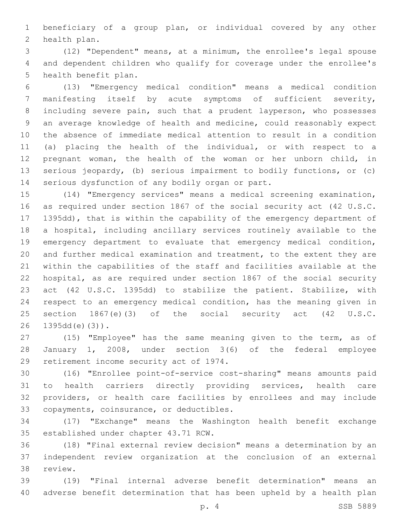beneficiary of a group plan, or individual covered by any other 2 health plan.

 (12) "Dependent" means, at a minimum, the enrollee's legal spouse and dependent children who qualify for coverage under the enrollee's 5 health benefit plan.

 (13) "Emergency medical condition" means a medical condition manifesting itself by acute symptoms of sufficient severity, including severe pain, such that a prudent layperson, who possesses an average knowledge of health and medicine, could reasonably expect the absence of immediate medical attention to result in a condition (a) placing the health of the individual, or with respect to a pregnant woman, the health of the woman or her unborn child, in serious jeopardy, (b) serious impairment to bodily functions, or (c) 14 serious dysfunction of any bodily organ or part.

 (14) "Emergency services" means a medical screening examination, as required under section 1867 of the social security act (42 U.S.C. 1395dd), that is within the capability of the emergency department of a hospital, including ancillary services routinely available to the emergency department to evaluate that emergency medical condition, and further medical examination and treatment, to the extent they are within the capabilities of the staff and facilities available at the hospital, as are required under section 1867 of the social security act (42 U.S.C. 1395dd) to stabilize the patient. Stabilize, with respect to an emergency medical condition, has the meaning given in section 1867(e)(3) of the social security act (42 U.S.C. 1395dd(e)(3)).

 (15) "Employee" has the same meaning given to the term, as of January 1, 2008, under section 3(6) of the federal employee 29 retirement income security act of 1974.

 (16) "Enrollee point-of-service cost-sharing" means amounts paid to health carriers directly providing services, health care providers, or health care facilities by enrollees and may include 33 copayments, coinsurance, or deductibles.

 (17) "Exchange" means the Washington health benefit exchange 35 established under chapter 43.71 RCW.

 (18) "Final external review decision" means a determination by an independent review organization at the conclusion of an external 38 review.

 (19) "Final internal adverse benefit determination" means an adverse benefit determination that has been upheld by a health plan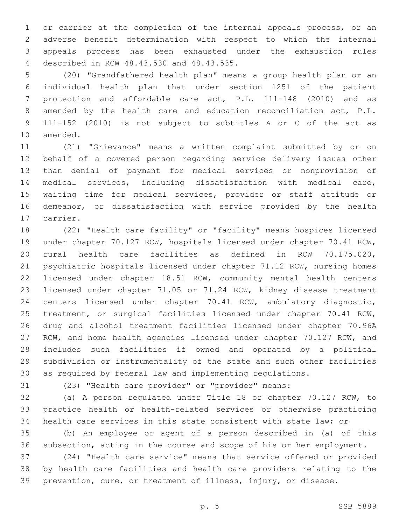or carrier at the completion of the internal appeals process, or an adverse benefit determination with respect to which the internal appeals process has been exhausted under the exhaustion rules described in RCW 48.43.530 and 48.43.535.4

 (20) "Grandfathered health plan" means a group health plan or an individual health plan that under section 1251 of the patient protection and affordable care act, P.L. 111-148 (2010) and as amended by the health care and education reconciliation act, P.L. 111-152 (2010) is not subject to subtitles A or C of the act as 10 amended.

 (21) "Grievance" means a written complaint submitted by or on behalf of a covered person regarding service delivery issues other than denial of payment for medical services or nonprovision of medical services, including dissatisfaction with medical care, waiting time for medical services, provider or staff attitude or demeanor, or dissatisfaction with service provided by the health 17 carrier.

 (22) "Health care facility" or "facility" means hospices licensed under chapter 70.127 RCW, hospitals licensed under chapter 70.41 RCW, rural health care facilities as defined in RCW 70.175.020, psychiatric hospitals licensed under chapter 71.12 RCW, nursing homes licensed under chapter 18.51 RCW, community mental health centers licensed under chapter 71.05 or 71.24 RCW, kidney disease treatment centers licensed under chapter 70.41 RCW, ambulatory diagnostic, treatment, or surgical facilities licensed under chapter 70.41 RCW, drug and alcohol treatment facilities licensed under chapter 70.96A RCW, and home health agencies licensed under chapter 70.127 RCW, and includes such facilities if owned and operated by a political subdivision or instrumentality of the state and such other facilities as required by federal law and implementing regulations.

(23) "Health care provider" or "provider" means:

 (a) A person regulated under Title 18 or chapter 70.127 RCW, to practice health or health-related services or otherwise practicing health care services in this state consistent with state law; or

 (b) An employee or agent of a person described in (a) of this subsection, acting in the course and scope of his or her employment.

 (24) "Health care service" means that service offered or provided by health care facilities and health care providers relating to the prevention, cure, or treatment of illness, injury, or disease.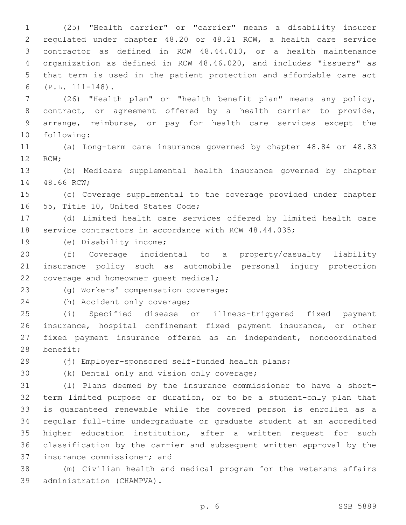(25) "Health carrier" or "carrier" means a disability insurer regulated under chapter 48.20 or 48.21 RCW, a health care service contractor as defined in RCW 48.44.010, or a health maintenance organization as defined in RCW 48.46.020, and includes "issuers" as that term is used in the patient protection and affordable care act (P.L. 111-148).6

 (26) "Health plan" or "health benefit plan" means any policy, contract, or agreement offered by a health carrier to provide, arrange, reimburse, or pay for health care services except the 10 following:

 (a) Long-term care insurance governed by chapter 48.84 or 48.83 12 RCW;

 (b) Medicare supplemental health insurance governed by chapter 14 48.66 RCW;

 (c) Coverage supplemental to the coverage provided under chapter 16 55, Title 10, United States Code;

 (d) Limited health care services offered by limited health care service contractors in accordance with RCW 48.44.035;

19 (e) Disability income;

 (f) Coverage incidental to a property/casualty liability insurance policy such as automobile personal injury protection 22 coverage and homeowner quest medical;

23 (g) Workers' compensation coverage;

24 (h) Accident only coverage;

 (i) Specified disease or illness-triggered fixed payment insurance, hospital confinement fixed payment insurance, or other fixed payment insurance offered as an independent, noncoordinated 28 benefit;

(j) Employer-sponsored self-funded health plans;

30 (k) Dental only and vision only coverage;

 (l) Plans deemed by the insurance commissioner to have a short- term limited purpose or duration, or to be a student-only plan that is guaranteed renewable while the covered person is enrolled as a regular full-time undergraduate or graduate student at an accredited higher education institution, after a written request for such classification by the carrier and subsequent written approval by the 37 insurance commissioner; and

 (m) Civilian health and medical program for the veterans affairs 39 administration (CHAMPVA).

p. 6 SSB 5889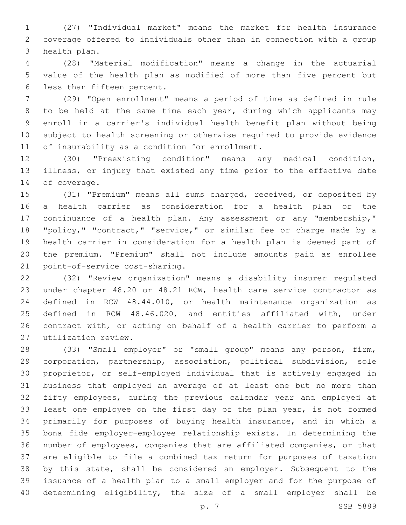(27) "Individual market" means the market for health insurance coverage offered to individuals other than in connection with a group 3 health plan.

 (28) "Material modification" means a change in the actuarial value of the health plan as modified of more than five percent but 6 less than fifteen percent.

 (29) "Open enrollment" means a period of time as defined in rule to be held at the same time each year, during which applicants may enroll in a carrier's individual health benefit plan without being subject to health screening or otherwise required to provide evidence 11 of insurability as a condition for enrollment.

 (30) "Preexisting condition" means any medical condition, illness, or injury that existed any time prior to the effective date 14 of coverage.

 (31) "Premium" means all sums charged, received, or deposited by a health carrier as consideration for a health plan or the continuance of a health plan. Any assessment or any "membership," "policy," "contract," "service," or similar fee or charge made by a health carrier in consideration for a health plan is deemed part of the premium. "Premium" shall not include amounts paid as enrollee 21 point-of-service cost-sharing.

 (32) "Review organization" means a disability insurer regulated under chapter 48.20 or 48.21 RCW, health care service contractor as defined in RCW 48.44.010, or health maintenance organization as defined in RCW 48.46.020, and entities affiliated with, under contract with, or acting on behalf of a health carrier to perform a utilization review.27

 (33) "Small employer" or "small group" means any person, firm, corporation, partnership, association, political subdivision, sole proprietor, or self-employed individual that is actively engaged in business that employed an average of at least one but no more than fifty employees, during the previous calendar year and employed at least one employee on the first day of the plan year, is not formed primarily for purposes of buying health insurance, and in which a bona fide employer-employee relationship exists. In determining the number of employees, companies that are affiliated companies, or that are eligible to file a combined tax return for purposes of taxation by this state, shall be considered an employer. Subsequent to the issuance of a health plan to a small employer and for the purpose of determining eligibility, the size of a small employer shall be

p. 7 SSB 5889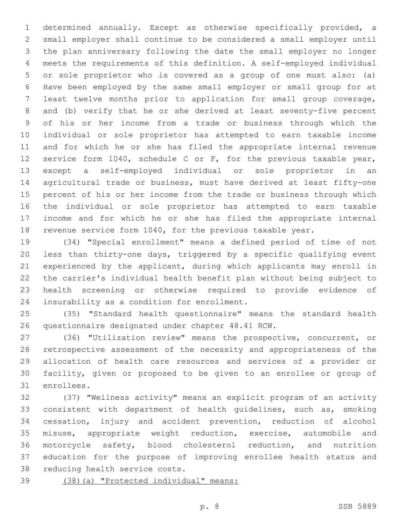determined annually. Except as otherwise specifically provided, a small employer shall continue to be considered a small employer until the plan anniversary following the date the small employer no longer meets the requirements of this definition. A self-employed individual or sole proprietor who is covered as a group of one must also: (a) Have been employed by the same small employer or small group for at least twelve months prior to application for small group coverage, and (b) verify that he or she derived at least seventy-five percent of his or her income from a trade or business through which the individual or sole proprietor has attempted to earn taxable income and for which he or she has filed the appropriate internal revenue service form 1040, schedule C or F, for the previous taxable year, except a self-employed individual or sole proprietor in an agricultural trade or business, must have derived at least fifty-one percent of his or her income from the trade or business through which the individual or sole proprietor has attempted to earn taxable income and for which he or she has filed the appropriate internal revenue service form 1040, for the previous taxable year.

 (34) "Special enrollment" means a defined period of time of not less than thirty-one days, triggered by a specific qualifying event experienced by the applicant, during which applicants may enroll in the carrier's individual health benefit plan without being subject to health screening or otherwise required to provide evidence of 24 insurability as a condition for enrollment.

 (35) "Standard health questionnaire" means the standard health 26 questionnaire designated under chapter 48.41 RCW.

 (36) "Utilization review" means the prospective, concurrent, or retrospective assessment of the necessity and appropriateness of the allocation of health care resources and services of a provider or facility, given or proposed to be given to an enrollee or group of 31 enrollees.

 (37) "Wellness activity" means an explicit program of an activity consistent with department of health guidelines, such as, smoking cessation, injury and accident prevention, reduction of alcohol misuse, appropriate weight reduction, exercise, automobile and motorcycle safety, blood cholesterol reduction, and nutrition education for the purpose of improving enrollee health status and 38 reducing health service costs.

(38)(a) "Protected individual" means: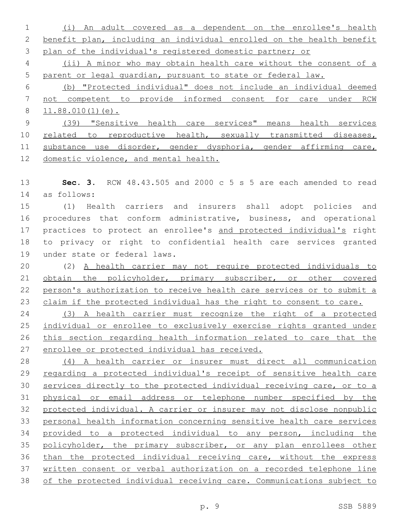(i) An adult covered as a dependent on the enrollee's health benefit plan, including an individual enrolled on the health benefit plan of the individual's registered domestic partner; or

 (ii) A minor who may obtain health care without the consent of a parent or legal guardian, pursuant to state or federal law.

 (b) "Protected individual" does not include an individual deemed not competent to provide informed consent for care under RCW 11.88.010(1)(e).

 (39) "Sensitive health care services" means health services 10 related to reproductive health, sexually transmitted diseases, substance use disorder, gender dysphoria, gender affirming care, domestic violence, and mental health.

 **Sec. 3.** RCW 48.43.505 and 2000 c 5 s 5 are each amended to read as follows:14

 (1) Health carriers and insurers shall adopt policies and procedures that conform administrative, business, and operational practices to protect an enrollee's and protected individual's right to privacy or right to confidential health care services granted 19 under state or federal laws.

 (2) A health carrier may not require protected individuals to obtain the policyholder, primary subscriber, or other covered person's authorization to receive health care services or to submit a 23 claim if the protected individual has the right to consent to care.

 (3) A health carrier must recognize the right of a protected individual or enrollee to exclusively exercise rights granted under this section regarding health information related to care that the enrollee or protected individual has received.

 (4) A health carrier or insurer must direct all communication 29 regarding a protected individual's receipt of sensitive health care services directly to the protected individual receiving care, or to a physical or email address or telephone number specified by the protected individual. A carrier or insurer may not disclose nonpublic personal health information concerning sensitive health care services provided to a protected individual to any person, including the 35 policyholder, the primary subscriber, or any plan enrollees other than the protected individual receiving care, without the express written consent or verbal authorization on a recorded telephone line of the protected individual receiving care. Communications subject to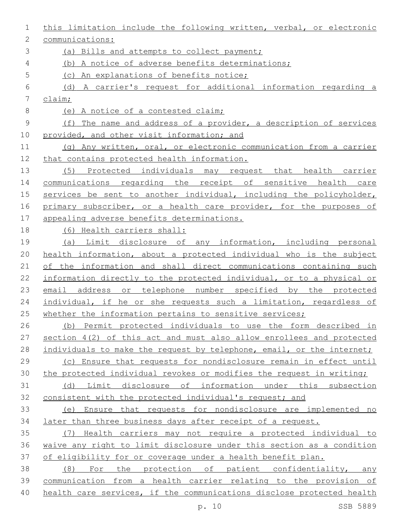| 1           | this limitation include the following written, verbal, or electronic   |
|-------------|------------------------------------------------------------------------|
| 2           | communications:                                                        |
| 3           | (a) Bills and attempts to collect payment;                             |
| 4           | (b) A notice of adverse benefits determinations;                       |
| 5           | (c) An explanations of benefits notice;                                |
| 6           | (d) A carrier's request for additional information regarding a         |
| 7           | $\frac{\text{claim}}{\text{.}}$                                        |
| $8\,$       | (e) A notice of a contested claim;                                     |
| $\mathsf 9$ | (f) The name and address of a provider, a description of services      |
| 10          | provided, and other visit information; and                             |
| 11          | (g) Any written, oral, or electronic communication from a carrier      |
| 12          | that contains protected health information.                            |
| 13          | (5) Protected individuals may request that health carrier              |
| 14          | communications regarding the receipt of sensitive health care          |
| 15          | services be sent to another individual, including the policyholder,    |
| 16          | primary subscriber, or a health care provider, for the purposes of     |
| 17          | appealing adverse benefits determinations.                             |
| 18          | (6) Health carriers shall:                                             |
| 19          | (a) Limit disclosure of any information, including personal            |
| 20          | health information, about a protected individual who is the subject    |
| 21          | of the information and shall direct communications containing such     |
| 22          | information directly to the protected individual, or to a physical or  |
| 23          | email address or telephone number specified by the protected           |
| 24          | individual, if he or she requests such a limitation, regardless of     |
| 25          | whether the information pertains to sensitive services;                |
| 26          | (b) Permit protected individuals to use the form described in          |
| 27          | section $4(2)$ of this act and must also allow enrollees and protected |
| 28          | individuals to make the request by telephone, email, or the internet;  |
| 29          | (c) Ensure that requests for nondisclosure remain in effect until      |
| 30          | the protected individual revokes or modifies the request in writing;   |
| 31          | Limit disclosure of information under this subsection<br>(d)           |
| 32          | consistent with the protected individual's request; and                |
| 33          | (e) Ensure that requests for nondisclosure are implemented no          |
| 34          | later than three business days after receipt of a request.             |
| 35          | (7) Health carriers may not require a protected individual to          |
| 36          | waive any right to limit disclosure under this section as a condition  |
| 37          | of eligibility for or coverage under a health benefit plan.            |
| 38          | (8) For the protection of patient confidentiality, any                 |
| 39          | communication from a health carrier relating to the provision of       |
| 40          | health care services, if the communications disclose protected health  |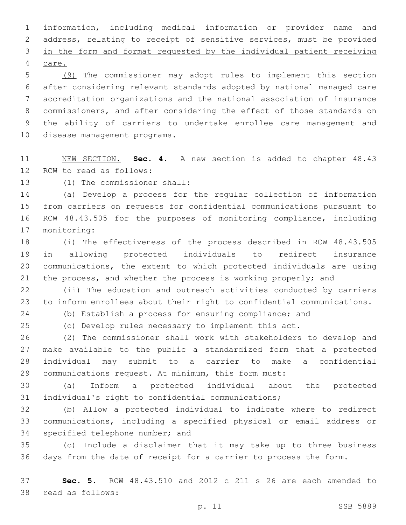information, including medical information or provider name and address, relating to receipt of sensitive services, must be provided in the form and format requested by the individual patient receiving 4 care.

 (9) The commissioner may adopt rules to implement this section after considering relevant standards adopted by national managed care accreditation organizations and the national association of insurance commissioners, and after considering the effect of those standards on the ability of carriers to undertake enrollee care management and 10 disease management programs.

 NEW SECTION. **Sec. 4.** A new section is added to chapter 48.43 12 RCW to read as follows:

13 (1) The commissioner shall:

 (a) Develop a process for the regular collection of information from carriers on requests for confidential communications pursuant to RCW 48.43.505 for the purposes of monitoring compliance, including 17 monitoring:

 (i) The effectiveness of the process described in RCW 48.43.505 in allowing protected individuals to redirect insurance communications, the extent to which protected individuals are using the process, and whether the process is working properly; and

 (ii) The education and outreach activities conducted by carriers to inform enrollees about their right to confidential communications.

(b) Establish a process for ensuring compliance; and

(c) Develop rules necessary to implement this act.

 (2) The commissioner shall work with stakeholders to develop and make available to the public a standardized form that a protected individual may submit to a carrier to make a confidential communications request. At minimum, this form must:

 (a) Inform a protected individual about the protected individual's right to confidential communications;

 (b) Allow a protected individual to indicate where to redirect communications, including a specified physical or email address or 34 specified telephone number; and

 (c) Include a disclaimer that it may take up to three business days from the date of receipt for a carrier to process the form.

 **Sec. 5.** RCW 48.43.510 and 2012 c 211 s 26 are each amended to 38 read as follows: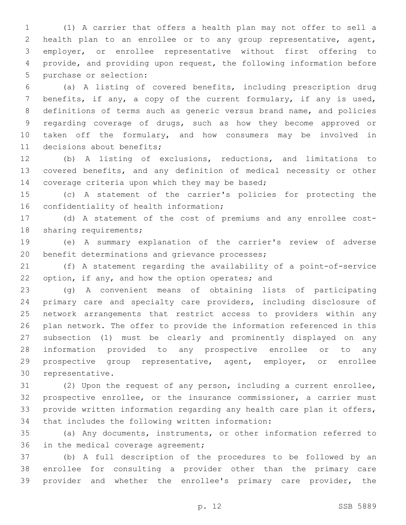(1) A carrier that offers a health plan may not offer to sell a health plan to an enrollee or to any group representative, agent, employer, or enrollee representative without first offering to provide, and providing upon request, the following information before 5 purchase or selection:

 (a) A listing of covered benefits, including prescription drug benefits, if any, a copy of the current formulary, if any is used, definitions of terms such as generic versus brand name, and policies regarding coverage of drugs, such as how they become approved or taken off the formulary, and how consumers may be involved in 11 decisions about benefits;

 (b) A listing of exclusions, reductions, and limitations to covered benefits, and any definition of medical necessity or other 14 coverage criteria upon which they may be based;

 (c) A statement of the carrier's policies for protecting the 16 confidentiality of health information;

 (d) A statement of the cost of premiums and any enrollee cost-18 sharing requirements;

 (e) A summary explanation of the carrier's review of adverse 20 benefit determinations and grievance processes;

 (f) A statement regarding the availability of a point-of-service 22 option, if any, and how the option operates; and

 (g) A convenient means of obtaining lists of participating primary care and specialty care providers, including disclosure of network arrangements that restrict access to providers within any plan network. The offer to provide the information referenced in this subsection (1) must be clearly and prominently displayed on any information provided to any prospective enrollee or to any prospective group representative, agent, employer, or enrollee 30 representative.

 (2) Upon the request of any person, including a current enrollee, prospective enrollee, or the insurance commissioner, a carrier must provide written information regarding any health care plan it offers, 34 that includes the following written information:

 (a) Any documents, instruments, or other information referred to 36 in the medical coverage agreement;

 (b) A full description of the procedures to be followed by an enrollee for consulting a provider other than the primary care provider and whether the enrollee's primary care provider, the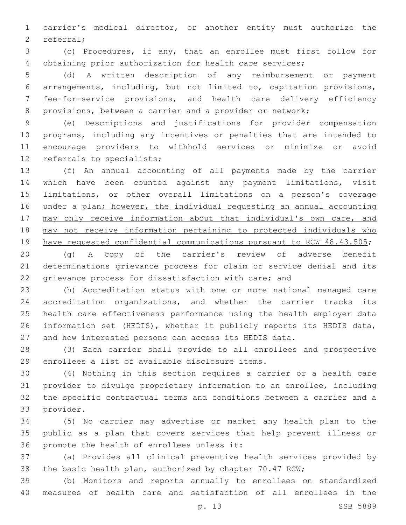carrier's medical director, or another entity must authorize the 2 referral;

 (c) Procedures, if any, that an enrollee must first follow for obtaining prior authorization for health care services;

 (d) A written description of any reimbursement or payment arrangements, including, but not limited to, capitation provisions, fee-for-service provisions, and health care delivery efficiency provisions, between a carrier and a provider or network;

 (e) Descriptions and justifications for provider compensation programs, including any incentives or penalties that are intended to encourage providers to withhold services or minimize or avoid 12 referrals to specialists;

 (f) An annual accounting of all payments made by the carrier which have been counted against any payment limitations, visit limitations, or other overall limitations on a person's coverage under a plan; however, the individual requesting an annual accounting 17 may only receive information about that individual's own care, and may not receive information pertaining to protected individuals who have requested confidential communications pursuant to RCW 48.43.505;

 (g) A copy of the carrier's review of adverse benefit determinations grievance process for claim or service denial and its grievance process for dissatisfaction with care; and

 (h) Accreditation status with one or more national managed care accreditation organizations, and whether the carrier tracks its health care effectiveness performance using the health employer data information set (HEDIS), whether it publicly reports its HEDIS data, and how interested persons can access its HEDIS data.

 (3) Each carrier shall provide to all enrollees and prospective 29 enrollees a list of available disclosure items.

 (4) Nothing in this section requires a carrier or a health care provider to divulge proprietary information to an enrollee, including the specific contractual terms and conditions between a carrier and a 33 provider.

 (5) No carrier may advertise or market any health plan to the public as a plan that covers services that help prevent illness or 36 promote the health of enrollees unless it:

 (a) Provides all clinical preventive health services provided by the basic health plan, authorized by chapter 70.47 RCW;

 (b) Monitors and reports annually to enrollees on standardized measures of health care and satisfaction of all enrollees in the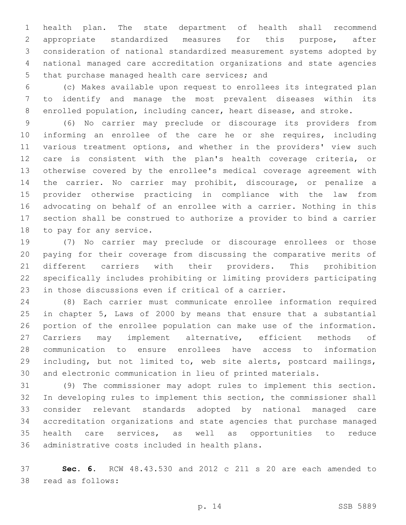health plan. The state department of health shall recommend appropriate standardized measures for this purpose, after consideration of national standardized measurement systems adopted by national managed care accreditation organizations and state agencies 5 that purchase managed health care services; and

 (c) Makes available upon request to enrollees its integrated plan to identify and manage the most prevalent diseases within its enrolled population, including cancer, heart disease, and stroke.

 (6) No carrier may preclude or discourage its providers from informing an enrollee of the care he or she requires, including various treatment options, and whether in the providers' view such care is consistent with the plan's health coverage criteria, or otherwise covered by the enrollee's medical coverage agreement with the carrier. No carrier may prohibit, discourage, or penalize a provider otherwise practicing in compliance with the law from advocating on behalf of an enrollee with a carrier. Nothing in this section shall be construed to authorize a provider to bind a carrier 18 to pay for any service.

 (7) No carrier may preclude or discourage enrollees or those paying for their coverage from discussing the comparative merits of different carriers with their providers. This prohibition specifically includes prohibiting or limiting providers participating in those discussions even if critical of a carrier.

 (8) Each carrier must communicate enrollee information required in chapter 5, Laws of 2000 by means that ensure that a substantial portion of the enrollee population can make use of the information. Carriers may implement alternative, efficient methods of communication to ensure enrollees have access to information including, but not limited to, web site alerts, postcard mailings, and electronic communication in lieu of printed materials.

 (9) The commissioner may adopt rules to implement this section. In developing rules to implement this section, the commissioner shall consider relevant standards adopted by national managed care accreditation organizations and state agencies that purchase managed health care services, as well as opportunities to reduce 36 administrative costs included in health plans.

 **Sec. 6.** RCW 48.43.530 and 2012 c 211 s 20 are each amended to 38 read as follows: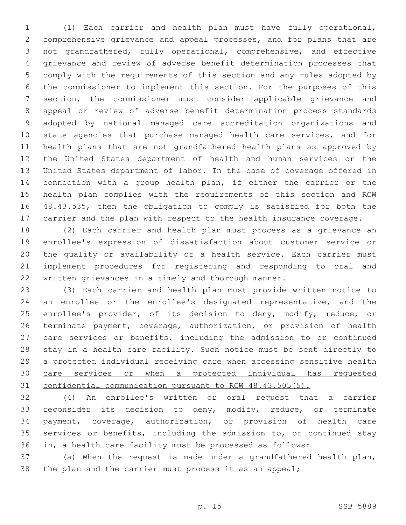(1) Each carrier and health plan must have fully operational, comprehensive grievance and appeal processes, and for plans that are not grandfathered, fully operational, comprehensive, and effective grievance and review of adverse benefit determination processes that comply with the requirements of this section and any rules adopted by the commissioner to implement this section. For the purposes of this section, the commissioner must consider applicable grievance and appeal or review of adverse benefit determination process standards adopted by national managed care accreditation organizations and state agencies that purchase managed health care services, and for health plans that are not grandfathered health plans as approved by the United States department of health and human services or the United States department of labor. In the case of coverage offered in connection with a group health plan, if either the carrier or the health plan complies with the requirements of this section and RCW 48.43.535, then the obligation to comply is satisfied for both the carrier and the plan with respect to the health insurance coverage.

 (2) Each carrier and health plan must process as a grievance an enrollee's expression of dissatisfaction about customer service or the quality or availability of a health service. Each carrier must implement procedures for registering and responding to oral and written grievances in a timely and thorough manner.

 (3) Each carrier and health plan must provide written notice to an enrollee or the enrollee's designated representative, and the 25 enrollee's provider, of its decision to deny, modify, reduce, or terminate payment, coverage, authorization, or provision of health care services or benefits, including the admission to or continued 28 stay in a health care facility. Such notice must be sent directly to 29 a protected individual receiving care when accessing sensitive health care services or when a protected individual has requested confidential communication pursuant to RCW 48.43.505(5).

 (4) An enrollee's written or oral request that a carrier reconsider its decision to deny, modify, reduce, or terminate payment, coverage, authorization, or provision of health care services or benefits, including the admission to, or continued stay in, a health care facility must be processed as follows:

 (a) When the request is made under a grandfathered health plan, the plan and the carrier must process it as an appeal;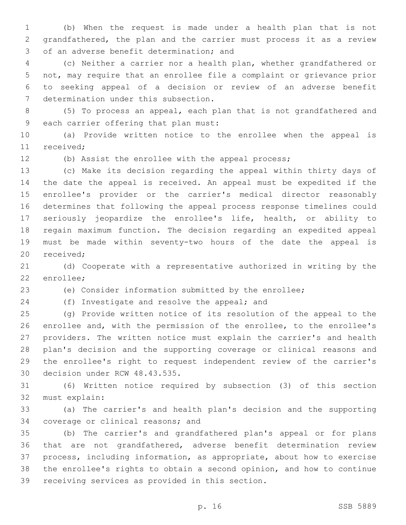(b) When the request is made under a health plan that is not grandfathered, the plan and the carrier must process it as a review 3 of an adverse benefit determination; and

 (c) Neither a carrier nor a health plan, whether grandfathered or not, may require that an enrollee file a complaint or grievance prior to seeking appeal of a decision or review of an adverse benefit 7 determination under this subsection.

 (5) To process an appeal, each plan that is not grandfathered and 9 each carrier offering that plan must:

 (a) Provide written notice to the enrollee when the appeal is 11 received:

(b) Assist the enrollee with the appeal process;

 (c) Make its decision regarding the appeal within thirty days of the date the appeal is received. An appeal must be expedited if the enrollee's provider or the carrier's medical director reasonably determines that following the appeal process response timelines could seriously jeopardize the enrollee's life, health, or ability to regain maximum function. The decision regarding an expedited appeal must be made within seventy-two hours of the date the appeal is 20 received;

 (d) Cooperate with a representative authorized in writing by the 22 enrollee;

(e) Consider information submitted by the enrollee;

24 (f) Investigate and resolve the appeal; and

 (g) Provide written notice of its resolution of the appeal to the enrollee and, with the permission of the enrollee, to the enrollee's providers. The written notice must explain the carrier's and health plan's decision and the supporting coverage or clinical reasons and the enrollee's right to request independent review of the carrier's 30 decision under RCW 48.43.535.

 (6) Written notice required by subsection (3) of this section 32 must explain:

 (a) The carrier's and health plan's decision and the supporting 34 coverage or clinical reasons; and

 (b) The carrier's and grandfathered plan's appeal or for plans that are not grandfathered, adverse benefit determination review process, including information, as appropriate, about how to exercise the enrollee's rights to obtain a second opinion, and how to continue 39 receiving services as provided in this section.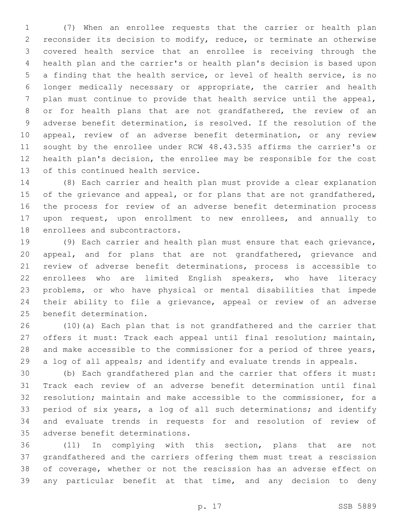(7) When an enrollee requests that the carrier or health plan reconsider its decision to modify, reduce, or terminate an otherwise covered health service that an enrollee is receiving through the health plan and the carrier's or health plan's decision is based upon a finding that the health service, or level of health service, is no longer medically necessary or appropriate, the carrier and health plan must continue to provide that health service until the appeal, or for health plans that are not grandfathered, the review of an adverse benefit determination, is resolved. If the resolution of the appeal, review of an adverse benefit determination, or any review sought by the enrollee under RCW 48.43.535 affirms the carrier's or health plan's decision, the enrollee may be responsible for the cost 13 of this continued health service.

 (8) Each carrier and health plan must provide a clear explanation 15 of the grievance and appeal, or for plans that are not grandfathered, the process for review of an adverse benefit determination process upon request, upon enrollment to new enrollees, and annually to 18 enrollees and subcontractors.

 (9) Each carrier and health plan must ensure that each grievance, appeal, and for plans that are not grandfathered, grievance and review of adverse benefit determinations, process is accessible to enrollees who are limited English speakers, who have literacy problems, or who have physical or mental disabilities that impede their ability to file a grievance, appeal or review of an adverse 25 benefit determination.

 (10)(a) Each plan that is not grandfathered and the carrier that offers it must: Track each appeal until final resolution; maintain, 28 and make accessible to the commissioner for a period of three years, a log of all appeals; and identify and evaluate trends in appeals.

 (b) Each grandfathered plan and the carrier that offers it must: Track each review of an adverse benefit determination until final resolution; maintain and make accessible to the commissioner, for a period of six years, a log of all such determinations; and identify and evaluate trends in requests for and resolution of review of 35 adverse benefit determinations.

 (11) In complying with this section, plans that are not grandfathered and the carriers offering them must treat a rescission of coverage, whether or not the rescission has an adverse effect on any particular benefit at that time, and any decision to deny